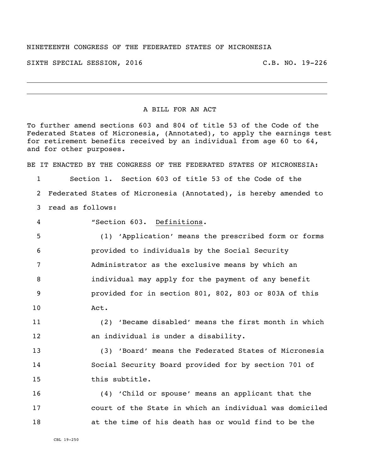## NINETEENTH CONGRESS OF THE FEDERATED STATES OF MICRONESIA

SIXTH SPECIAL SESSION, 2016 C.B. NO. 19-226

## A BILL FOR AN ACT

To further amend sections 603 and 804 of title 53 of the Code of the Federated States of Micronesia, (Annotated), to apply the earnings test for retirement benefits received by an individual from age 60 to 64, and for other purposes.

BE IT ENACTED BY THE CONGRESS OF THE FEDERATED STATES OF MICRONESIA:

 Section 1. Section 603 of title 53 of the Code of the Federated States of Micronesia (Annotated), is hereby amended to read as follows:

"Section 603. Definitions.

 (1) 'Application' means the prescribed form or forms provided to individuals by the Social Security Administrator as the exclusive means by which an individual may apply for the payment of any benefit provided for in section 801, 802, 803 or 803A of this Act.

 (2) 'Became disabled' means the first month in which an individual is under a disability.

 (3) 'Board' means the Federated States of Micronesia Social Security Board provided for by section 701 of this subtitle.

 (4) 'Child or spouse' means an applicant that the court of the State in which an individual was domiciled at the time of his death has or would find to be the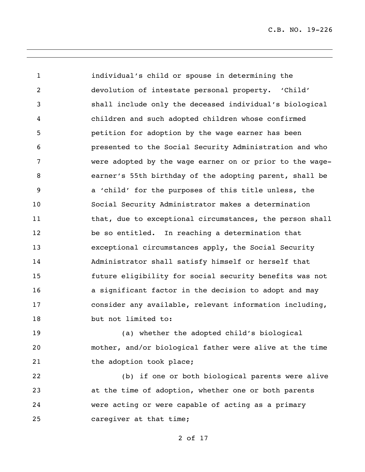individual's child or spouse in determining the devolution of intestate personal property. 'Child' shall include only the deceased individual's biological children and such adopted children whose confirmed petition for adoption by the wage earner has been presented to the Social Security Administration and who were adopted by the wage earner on or prior to the wage- earner's 55th birthday of the adopting parent, shall be a 'child' for the purposes of this title unless, the Social Security Administrator makes a determination 11 that, due to exceptional circumstances, the person shall be so entitled. In reaching a determination that exceptional circumstances apply, the Social Security Administrator shall satisfy himself or herself that future eligibility for social security benefits was not a significant factor in the decision to adopt and may consider any available, relevant information including, but not limited to:

 (a) whether the adopted child's biological mother, and/or biological father were alive at the time 21 the adoption took place;

 (b) if one or both biological parents were alive at the time of adoption, whether one or both parents were acting or were capable of acting as a primary 25 caregiver at that time;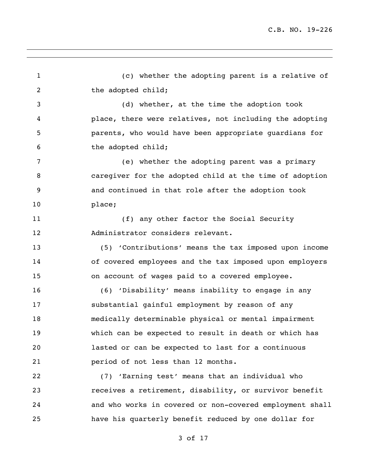(c) whether the adopting parent is a relative of 2 the adopted child; (d) whether, at the time the adoption took place, there were relatives, not including the adopting parents, who would have been appropriate guardians for the adopted child; (e) whether the adopting parent was a primary caregiver for the adopted child at the time of adoption and continued in that role after the adoption took place; 11 (f) any other factor the Social Security Administrator considers relevant. (5) 'Contributions' means the tax imposed upon income of covered employees and the tax imposed upon employers on account of wages paid to a covered employee. (6) 'Disability' means inability to engage in any substantial gainful employment by reason of any medically determinable physical or mental impairment which can be expected to result in death or which has lasted or can be expected to last for a continuous period of not less than 12 months. (7) 'Earning test' means that an individual who receives a retirement, disability, or survivor benefit and who works in covered or non-covered employment shall have his quarterly benefit reduced by one dollar for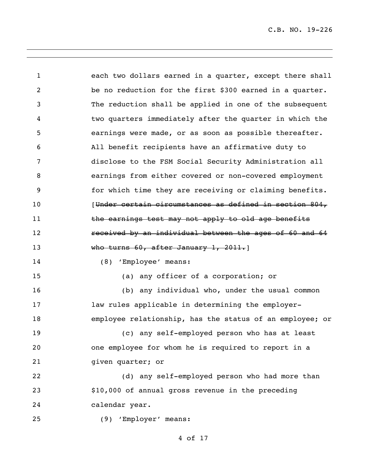each two dollars earned in a quarter, except there shall be no reduction for the first \$300 earned in a quarter. The reduction shall be applied in one of the subsequent two quarters immediately after the quarter in which the earnings were made, or as soon as possible thereafter. All benefit recipients have an affirmative duty to disclose to the FSM Social Security Administration all earnings from either covered or non-covered employment for which time they are receiving or claiming benefits. **Inder certain circumstances as defined in section 804,** 11 the earnings test may not apply to old age benefits received by an individual between the ages of 60 and 64 13 Who turns 60, after January 1, 2011. (8) 'Employee' means: (a) any officer of a corporation; or (b) any individual who, under the usual common **law rules applicable in determining the employer-** employee relationship, has the status of an employee; or (c) any self-employed person who has at least one employee for whom he is required to report in a 21 given quarter; or (d) any self-employed person who had more than \$10,000 of annual gross revenue in the preceding calendar year. (9) 'Employer' means: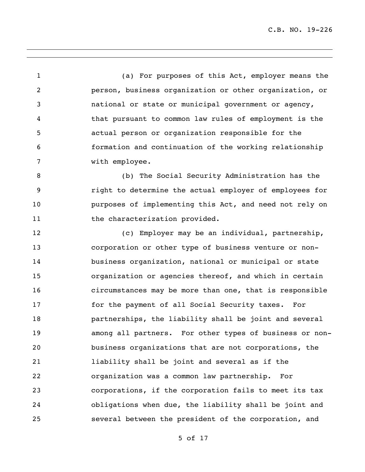(a) For purposes of this Act, employer means the person, business organization or other organization, or national or state or municipal government or agency, that pursuant to common law rules of employment is the actual person or organization responsible for the formation and continuation of the working relationship with employee.

 (b) The Social Security Administration has the right to determine the actual employer of employees for purposes of implementing this Act, and need not rely on 11 the characterization provided.

 (c) Employer may be an individual, partnership, corporation or other type of business venture or non- business organization, national or municipal or state organization or agencies thereof, and which in certain circumstances may be more than one, that is responsible for the payment of all Social Security taxes. For partnerships, the liability shall be joint and several among all partners. For other types of business or non- business organizations that are not corporations, the liability shall be joint and several as if the organization was a common law partnership. For corporations, if the corporation fails to meet its tax obligations when due, the liability shall be joint and several between the president of the corporation, and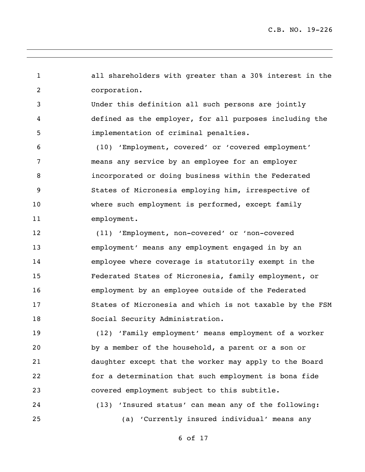all shareholders with greater than a 30% interest in the corporation. Under this definition all such persons are jointly defined as the employer, for all purposes including the implementation of criminal penalties.

 (10) 'Employment, covered' or 'covered employment' means any service by an employee for an employer incorporated or doing business within the Federated States of Micronesia employing him, irrespective of where such employment is performed, except family employment.

 (11) 'Employment, non-covered' or 'non-covered employment' means any employment engaged in by an employee where coverage is statutorily exempt in the Federated States of Micronesia, family employment, or employment by an employee outside of the Federated States of Micronesia and which is not taxable by the FSM Social Security Administration.

 (12) 'Family employment' means employment of a worker by a member of the household, a parent or a son or daughter except that the worker may apply to the Board for a determination that such employment is bona fide covered employment subject to this subtitle.

 (13) 'Insured status' can mean any of the following: (a) 'Currently insured individual' means any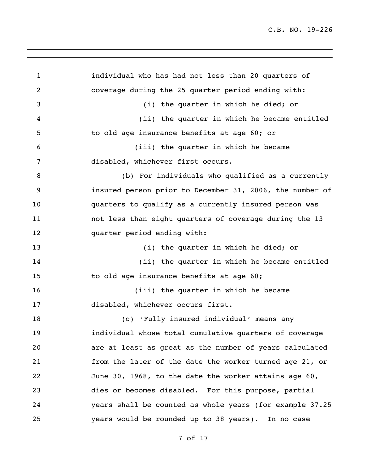individual who has had not less than 20 quarters of coverage during the 25 quarter period ending with: (i) the quarter in which he died; or (ii) the quarter in which he became entitled to old age insurance benefits at age 60; or (iii) the quarter in which he became disabled, whichever first occurs. (b) For individuals who qualified as a currently insured person prior to December 31, 2006, the number of quarters to qualify as a currently insured person was not less than eight quarters of coverage during the 13 quarter period ending with: 13 (i) the quarter in which he died; or (ii) the quarter in which he became entitled 15 to old age insurance benefits at age 60; 16 (iii) the quarter in which he became disabled, whichever occurs first. (c) 'Fully insured individual' means any individual whose total cumulative quarters of coverage are at least as great as the number of years calculated from the later of the date the worker turned age 21, or June 30, 1968, to the date the worker attains age 60, dies or becomes disabled. For this purpose, partial years shall be counted as whole years (for example 37.25 years would be rounded up to 38 years). In no case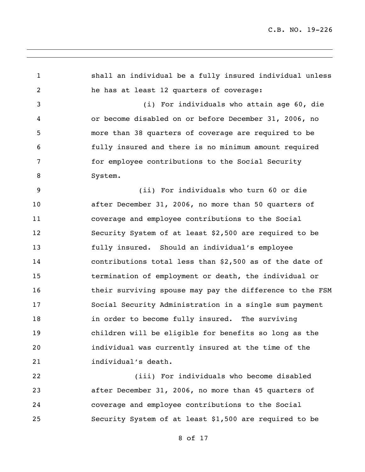shall an individual be a fully insured individual unless he has at least 12 quarters of coverage: (i) For individuals who attain age 60, die or become disabled on or before December 31, 2006, no more than 38 quarters of coverage are required to be fully insured and there is no minimum amount required for employee contributions to the Social Security System. (ii) For individuals who turn 60 or die after December 31, 2006, no more than 50 quarters of coverage and employee contributions to the Social Security System of at least \$2,500 are required to be fully insured. Should an individual's employee contributions total less than \$2,500 as of the date of termination of employment or death, the individual or their surviving spouse may pay the difference to the FSM Social Security Administration in a single sum payment **in order to become fully insured.** The surviving children will be eligible for benefits so long as the individual was currently insured at the time of the individual's death. (iii) For individuals who become disabled

 after December 31, 2006, no more than 45 quarters of coverage and employee contributions to the Social Security System of at least \$1,500 are required to be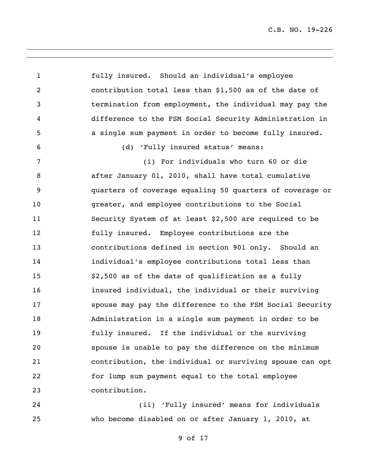fully insured. Should an individual's employee contribution total less than \$1,500 as of the date of termination from employment, the individual may pay the difference to the FSM Social Security Administration in a single sum payment in order to become fully insured. (d) 'Fully insured status' means: (i) For individuals who turn 60 or die after January 01, 2010, shall have total cumulative quarters of coverage equaling 50 quarters of coverage or greater, and employee contributions to the Social Security System of at least \$2,500 are required to be fully insured. Employee contributions are the contributions defined in section 901 only. Should an individual's employee contributions total less than \$2,500 as of the date of qualification as a fully insured individual, the individual or their surviving spouse may pay the difference to the FSM Social Security Administration in a single sum payment in order to be fully insured. If the individual or the surviving spouse is unable to pay the difference on the minimum contribution, the individual or surviving spouse can opt for lump sum payment equal to the total employee contribution.

 (ii) 'Fully insured' means for individuals who become disabled on or after January 1, 2010, at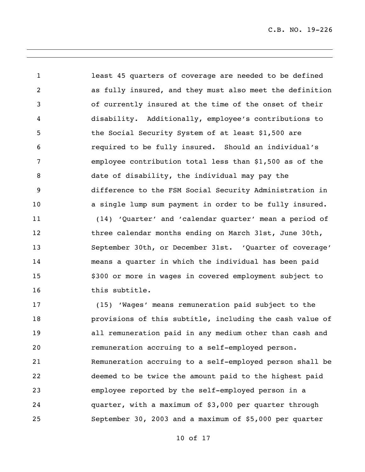least 45 quarters of coverage are needed to be defined as fully insured, and they must also meet the definition of currently insured at the time of the onset of their disability. Additionally, employee's contributions to 5 the Social Security System of at least \$1,500 are required to be fully insured. Should an individual's employee contribution total less than \$1,500 as of the date of disability, the individual may pay the difference to the FSM Social Security Administration in a single lump sum payment in order to be fully insured. (14) 'Quarter' and 'calendar quarter' mean a period of 12 three calendar months ending on March 31st, June 30th, September 30th, or December 31st. 'Quarter of coverage' means a quarter in which the individual has been paid \$300 or more in wages in covered employment subject to this subtitle. (15) 'Wages' means remuneration paid subject to the provisions of this subtitle, including the cash value of all remuneration paid in any medium other than cash and remuneration accruing to a self-employed person. Remuneration accruing to a self-employed person shall be deemed to be twice the amount paid to the highest paid employee reported by the self-employed person in a quarter, with a maximum of \$3,000 per quarter through

September 30, 2003 and a maximum of \$5,000 per quarter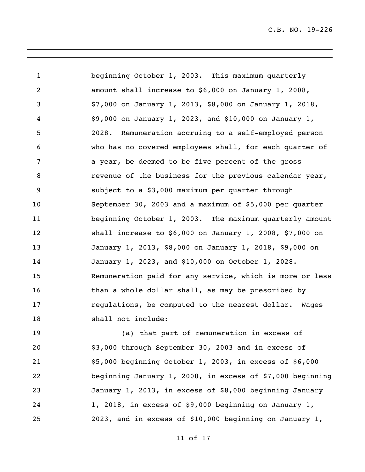beginning October 1, 2003. This maximum quarterly amount shall increase to \$6,000 on January 1, 2008, \$7,000 on January 1, 2013, \$8,000 on January 1, 2018, \$9,000 on January 1, 2023, and \$10,000 on January 1, 2028. Remuneration accruing to a self-employed person who has no covered employees shall, for each quarter of a year, be deemed to be five percent of the gross **8** revenue of the business for the previous calendar year, subject to a \$3,000 maximum per quarter through September 30, 2003 and a maximum of \$5,000 per quarter beginning October 1, 2003. The maximum quarterly amount shall increase to \$6,000 on January 1, 2008, \$7,000 on January 1, 2013, \$8,000 on January 1, 2018, \$9,000 on January 1, 2023, and \$10,000 on October 1, 2028. Remuneration paid for any service, which is more or less 16 than a whole dollar shall, as may be prescribed by **regulations, be computed to the nearest dollar.** Wages 18 shall not include:

 (a) that part of remuneration in excess of \$3,000 through September 30, 2003 and in excess of \$5,000 beginning October 1, 2003, in excess of \$6,000 beginning January 1, 2008, in excess of \$7,000 beginning January 1, 2013, in excess of \$8,000 beginning January 1, 2018, in excess of \$9,000 beginning on January 1, 2023, and in excess of \$10,000 beginning on January 1,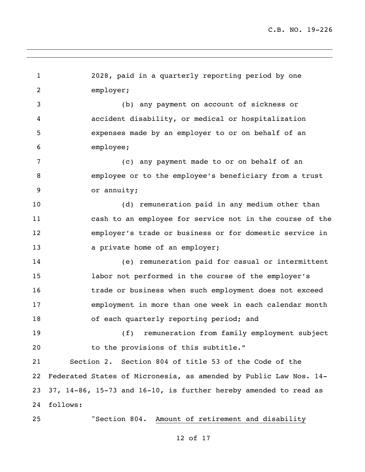2028, paid in a quarterly reporting period by one employer; (b) any payment on account of sickness or accident disability, or medical or hospitalization expenses made by an employer to or on behalf of an employee; (c) any payment made to or on behalf of an employee or to the employee's beneficiary from a trust or annuity; (d) remuneration paid in any medium other than cash to an employee for service not in the course of the employer's trade or business or for domestic service in **a private home of an employer;**  (e) remuneration paid for casual or intermittent labor not performed in the course of the employer's trade or business when such employment does not exceed employment in more than one week in each calendar month 18 of each quarterly reporting period; and (f) remuneration from family employment subject 20 to the provisions of this subtitle." Section 2. Section 804 of title 53 of the Code of the Federated States of Micronesia, as amended by Public Law Nos. 14- 37, 14-86, 15-73 and 16-10, is further hereby amended to read as follows: "Section 804. Amount of retirement and disability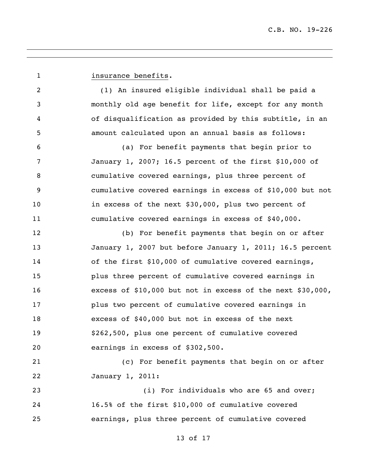**insurance benefits.**  (1) An insured eligible individual shall be paid a monthly old age benefit for life, except for any month of disqualification as provided by this subtitle, in an amount calculated upon an annual basis as follows: (a) For benefit payments that begin prior to January 1, 2007; 16.5 percent of the first \$10,000 of cumulative covered earnings, plus three percent of cumulative covered earnings in excess of \$10,000 but not in excess of the next \$30,000, plus two percent of cumulative covered earnings in excess of \$40,000. (b) For benefit payments that begin on or after January 1, 2007 but before January 1, 2011; 16.5 percent of the first \$10,000 of cumulative covered earnings, plus three percent of cumulative covered earnings in excess of \$10,000 but not in excess of the next \$30,000, plus two percent of cumulative covered earnings in excess of \$40,000 but not in excess of the next \$262,500, plus one percent of cumulative covered earnings in excess of \$302,500. (c) For benefit payments that begin on or after January 1, 2011: 23 (i) For individuals who are 65 and over; 16.5% of the first \$10,000 of cumulative covered earnings, plus three percent of cumulative covered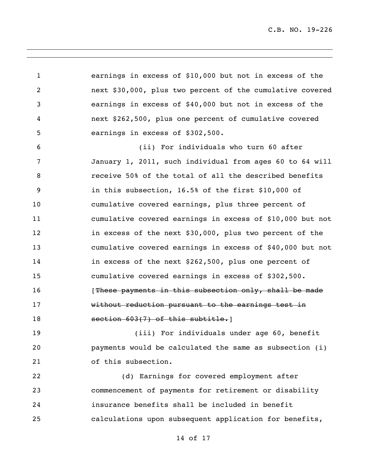earnings in excess of \$10,000 but not in excess of the next \$30,000, plus two percent of the cumulative covered earnings in excess of \$40,000 but not in excess of the next \$262,500, plus one percent of cumulative covered earnings in excess of \$302,500. (ii) For individuals who turn 60 after

 January 1, 2011, such individual from ages 60 to 64 will receive 50% of the total of all the described benefits in this subsection, 16.5% of the first \$10,000 of cumulative covered earnings, plus three percent of cumulative covered earnings in excess of \$10,000 but not in excess of the next \$30,000, plus two percent of the cumulative covered earnings in excess of \$40,000 but not in excess of the next \$262,500, plus one percent of cumulative covered earnings in excess of \$302,500. **16** [These payments in this subsection only, shall be made without reduction pursuant to the earnings test in 18 section 603(7) of this subtitle.

 (iii) For individuals under age 60, benefit payments would be calculated the same as subsection (i) of this subsection.

 (d) Earnings for covered employment after commencement of payments for retirement or disability insurance benefits shall be included in benefit calculations upon subsequent application for benefits,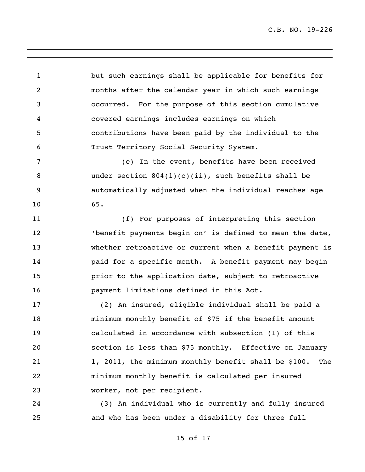but such earnings shall be applicable for benefits for months after the calendar year in which such earnings occurred. For the purpose of this section cumulative covered earnings includes earnings on which contributions have been paid by the individual to the Trust Territory Social Security System.

 (e) In the event, benefits have been received under section 804(1)(c)(ii), such benefits shall be automatically adjusted when the individual reaches age 65.

 (f) For purposes of interpreting this section 'benefit payments begin on' is defined to mean the date, whether retroactive or current when a benefit payment is **paid for a specific month.** A benefit payment may begin prior to the application date, subject to retroactive payment limitations defined in this Act.

 (2) An insured, eligible individual shall be paid a minimum monthly benefit of \$75 if the benefit amount calculated in accordance with subsection (1) of this section is less than \$75 monthly. Effective on January 1, 2011, the minimum monthly benefit shall be \$100. The minimum monthly benefit is calculated per insured worker, not per recipient.

 (3) An individual who is currently and fully insured and who has been under a disability for three full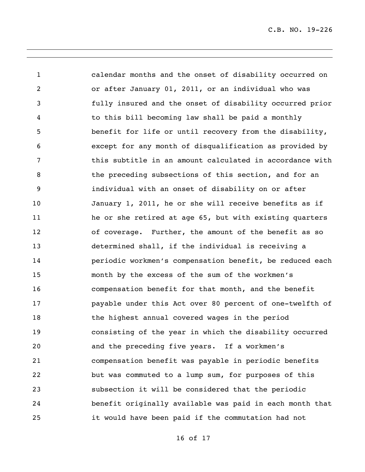calendar months and the onset of disability occurred on or after January 01, 2011, or an individual who was fully insured and the onset of disability occurred prior to this bill becoming law shall be paid a monthly benefit for life or until recovery from the disability, except for any month of disqualification as provided by this subtitle in an amount calculated in accordance with the preceding subsections of this section, and for an individual with an onset of disability on or after January 1, 2011, he or she will receive benefits as if he or she retired at age 65, but with existing quarters of coverage. Further, the amount of the benefit as so determined shall, if the individual is receiving a periodic workmen's compensation benefit, be reduced each month by the excess of the sum of the workmen's compensation benefit for that month, and the benefit payable under this Act over 80 percent of one-twelfth of the highest annual covered wages in the period consisting of the year in which the disability occurred and the preceding five years. If a workmen's compensation benefit was payable in periodic benefits but was commuted to a lump sum, for purposes of this subsection it will be considered that the periodic benefit originally available was paid in each month that it would have been paid if the commutation had not